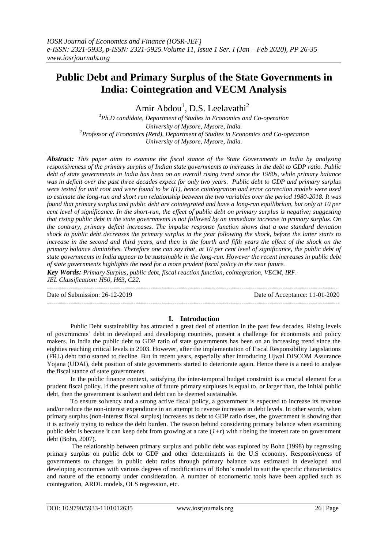# **Public Debt and Primary Surplus of the State Governments in India: Cointegration and VECM Analysis**

Amir Abdou<sup>1</sup>, D.S. Leelavathi<sup>2</sup>

*1 Ph.D candidate, Department of Studies in Economics and Co-operation University of Mysore, Mysore, India. <sup>2</sup>Professor of Economics (Retd), Department of Studies in Economics and Co-operation University of Mysore, Mysore, India.*

*Abstract: This paper aims to examine the fiscal stance of the State Governments in India by analyzing responsiveness of the primary surplus of Indian state governments to increases in the debt to GDP ratio. Public debt of state governments in India has been on an overall rising trend since the 1980s, while primary balance was in deficit over the past three decades expect for only two years. Public debt to GDP and primary surplus were tested for unit root and were found to be I(1), hence cointegration and error correction models were used to estimate the long-run and short run relationship between the two variables over the period 1980-2018. It was found that primary surplus and public debt are cointegrated and have a long-run equilibrium, but only at 10 per cent level of significance. In the short-run, the effect of public debt on primary surplus is negative; suggesting that rising public debt in the state governments is not followed by an immediate increase in primary surplus. On the contrary, primary deficit increases. The impulse response function shows that a one standard deviation shock to public debt decreases the primary surplus in the year following the shock, before the latter starts to increase in the second and third years, and then in the fourth and fifth years the effect of the shock on the primary balance diminishes. Therefore one can say that, at 10 per cent level of significance, the public debt of state governments in India appear to be sustainable in the long-run. However the recent increases in public debt of state governments highlights the need for a more prudent fiscal policy in the near future.* 

*Key Words: Primary Surplus, public debt, fiscal reaction function, cointegration, VECM, IRF. JEL Classification: H50, H63, C22.* --------------------------------------------------------------------------------------------------------------------------------------

Date of Submission: 26-12-2019 Date of Acceptance: 11-01-2020 ---------------------------------------------------------------------------------------------------------------------------------------

# **I. Introduction**

Public Debt sustainability has attracted a great deal of attention in the past few decades. Rising levels of governments' debt in developed and developing countries, present a challenge for economists and policy makers. In India the public debt to GDP ratio of state governments has been on an increasing trend since the eighties reaching critical levels in 2003. However, after the implementation of Fiscal Responsibility Legislations (FRL) debt ratio started to decline. But in recent years, especially after introducing Ujwal DISCOM Assurance Yojana (UDAI), debt position of state governments started to deteriorate again. Hence there is a need to analyse the fiscal stance of state governments.

In the public finance context, satisfying the inter-temporal budget constraint is a crucial element for a prudent fiscal policy. If the present value of future primary surpluses is equal to, or larger than, the initial public debt, then the government is solvent and debt can be deemed sustainable.

To ensure solvency and a strong active fiscal policy, a government is expected to increase its revenue and/or reduce the non-interest expenditure in an attempt to reverse increases in debt levels. In other words, when primary surplus (non-interest fiscal surplus) increases as debt to GDP ratio rises, the government is showing that it is actively trying to reduce the debt burden. The reason behind considering primary balance when examining public debt is because it can keep debt from growing at a rate (*1+r*) with r being the interest rate on government debt (Bohn, 2007).

The relationship between primary surplus and public debt was explored by Bohn (1998) by regressing primary surplus on public debt to GDP and other determinants in the U.S economy. Responsiveness of governments to changes in public debt ratios through primary balance was estimated in developed and developing economies with various degrees of modifications of Bohn's model to suit the specific characteristics and nature of the economy under consideration. A number of econometric tools have been applied such as cointegration, ARDL models, OLS regression, etc.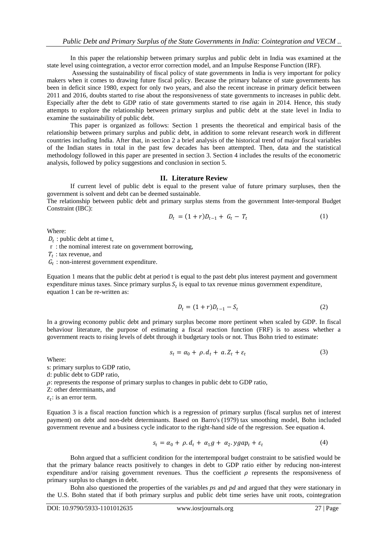In this paper the relationship between primary surplus and public debt in India was examined at the state level using cointegration, a vector error correction model, and an Impulse Response Function (IRF).

Assessing the sustainability of fiscal policy of state governments in India is very important for policy makers when it comes to drawing future fiscal policy. Because the primary balance of state governments has been in deficit since 1980, expect for only two years, and also the recent increase in primary deficit between 2011 and 2016, doubts started to rise about the responsiveness of state governments to increases in public debt. Especially after the debt to GDP ratio of state governments started to rise again in 2014. Hence, this study attempts to explore the relationship between primary surplus and public debt at the state level in India to examine the sustainability of public debt.

This paper is organized as follows: Section 1 presents the theoretical and empirical basis of the relationship between primary surplus and public debt, in addition to some relevant research work in different countries including India. After that, in section 2 a brief analysis of the historical trend of major fiscal variables of the Indian states in total in the past few decades has been attempted. Then, data and the statistical methodology followed in this paper are presented in section 3. Section 4 includes the results of the econometric analysis, followed by policy suggestions and conclusion in section 5.

## **II. Literature Review**

If current level of public debt is equal to the present value of future primary surpluses, then the government is solvent and debt can be deemed sustainable.

The relationship between public debt and primary surplus stems from the government Inter-temporal Budget Constraint (IBC):

$$
D_t = (1+r)D_{t-1} + G_t - T_t \tag{1}
$$

Where:

 $D_t$ : public debt at time t,

r : the nominal interest rate on government borrowing,

 $T_t$ : tax revenue, and

 $G_t$ : non-interest government expenditure.

Equation 1 means that the public debt at period t is equal to the past debt plus interest payment and government expenditure minus taxes. Since primary surplus  $S_t$  is equal to tax revenue minus government expenditure, equation 1 can be re-written as:

$$
D_t = (1+r)D_{t-1} - S_t
$$
 (2)

In a growing economy public debt and primary surplus become more pertinent when scaled by GDP. In fiscal behaviour literature, the purpose of estimating a fiscal reaction function (FRF) is to assess whether a government reacts to rising levels of debt through it budgetary tools or not. Thus Bohn tried to estimate:

$$
s_t = \alpha_0 + \rho \cdot d_t + a \cdot Z_t + \varepsilon_t \tag{3}
$$

Where:

s: primary surplus to GDP ratio,

d: public debt to GDP ratio,

 $\rho$ : represents the response of primary surplus to changes in public debt to GDP ratio.

Z: other determinants, and

 $\varepsilon_t$ : is an error term.

Equation 3 is a fiscal reaction function which is a regression of primary surplus (fiscal surplus net of interest payment) on debt and non-debt determinants. Based on Barro's (1979) tax smoothing model, Bohn included government revenue and a business cycle indicator to the right-hand side of the regression. See equation 4.

$$
s_t = \alpha_0 + \rho \cdot d_t + \alpha_1 g + \alpha_2 \cdot ygap_t + \varepsilon_t \tag{4}
$$

Bohn argued that a sufficient condition for the intertemporal budget constraint to be satisfied would be that the primary balance reacts positively to changes in debt to GDP ratio either by reducing non-interest expenditure and/or raising government revenues. Thus the coefficient  $\rho$  represents the responsiveness of primary surplus to changes in debt.

Bohn also questioned the properties of the variables *ps* and *pd* and argued that they were stationary in the U.S. Bohn stated that if both primary surplus and public debt time series have unit roots, cointegration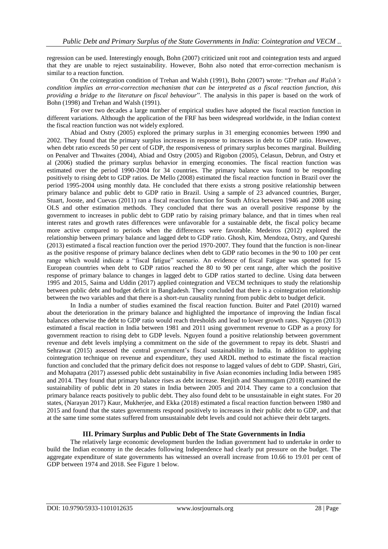regression can be used. Interestingly enough, Bohn (2007) criticized unit root and cointegration tests and argued that they are unable to reject sustainability. However, Bohn also noted that error-correction mechanism is similar to a reaction function.

On the cointegration condition of Trehan and Walsh (1991), Bohn (2007) wrote: "*Trehan and Walsh's condition implies an error-correction mechanism that can be interpreted as a fiscal reaction function, this providing a bridge to the literature on fiscal behaviour*". The analysis in this paper is based on the work of Bohn (1998) and Trehan and Walsh (1991).

For over two decades a large number of empirical studies have adopted the fiscal reaction function in different variations. Although the application of the FRF has been widespread worldwide, in the Indian context the fiscal reaction function was not widely explored.

Abiad and Ostry (2005) explored the primary surplus in 31 emerging economies between 1990 and 2002. They found that the primary surplus increases in response to increases in debt to GDP ratio. However, when debt ratio exceeds 50 per cent of GDP, the responsiveness of primary surplus becomes marginal. Building on Penalver and Thwaites (2004), Abiad and Ostry (2005) and Rigobon (2005), Celasun, Debrun, and Ostry et al (2006) studied the primary surplus behavior in emerging economies. The fiscal reaction function was estimated over the period 1990-2004 for 34 countries. The primary balance was found to be responding positively to rising debt to GDP ratios. De Mello (2008) estimated the fiscal reaction function in Brazil over the period 1995-2004 using monthly data. He concluded that there exists a strong positive relationship between primary balance and public debt to GDP ratio in Brazil. Using a sample of 23 advanced countries, Burger, Stuart, Jooste, and Cuevas (2011) ran a fiscal reaction function for South Africa between 1946 and 2008 using OLS and other estimation methods. They concluded that there was an overall positive response by the government to increases in public debt to GDP ratio by raising primary balance, and that in times when real interest rates and growth rates differences were unfavorable for a sustainable debt, the fiscal policy became more active compared to periods when the differences were favorable. Medeiros (2012) explored the relationship between primary balance and lagged debt to GDP ratio. Ghosh, Kim, Mendoza, Ostry, and Qureshi (2013) estimated a fiscal reaction function over the period 1970-2007. They found that the function is non-linear as the positive response of primary balance declines when debt to GDP ratio becomes in the 90 to 100 per cent range which would indicate a "fiscal fatigue" scenario. An evidence of fiscal Fatigue was spotted for 15 European countries when debt to GDP ratios reached the 80 to 90 per cent range, after which the positive response of primary balance to changes in lagged debt to GDP ratios started to decline. Using data between 1995 and 2015, Saima and Uddin (2017) applied cointegration and VECM techniques to study the relationship between public debt and budget deficit in Bangladesh. They concluded that there is a cointegration relationship between the two variables and that there is a short-run causality running from public debt to budget deficit.

In India a number of studies examined the fiscal reaction function. Buiter and Patel (2010) warned about the deterioration in the primary balance and highlighted the importance of improving the Indian fiscal balances otherwise the debt to GDP ratio would reach thresholds and lead to lower growth rates. Nguyen (2013) estimated a fiscal reaction in India between 1981 and 2011 using government revenue to GDP as a proxy for government reaction to rising debt to GDP levels. Nguyen found a positive relationship between government revenue and debt levels implying a commitment on the side of the government to repay its debt. Shastri and Sehrawat (2015) assessed the central government's fiscal sustainability in India. In addition to applying cointegration technique on revenue and expenditure, they used ARDL method to estimate the fiscal reaction function and concluded that the primary deficit does not response to lagged values of debt to GDP. Shastri, Giri, and Mohapatra (2017) assessed public debt sustainability in five Asian economies including India between 1985 and 2014. They found that primary balance rises as debt increase. Renjith and Shanmugam (2018) examined the sustainability of public debt in 20 states in India between 2005 and 2014. They came to a conclusion that primary balance reacts positively to public debt. They also found debt to be unsustainable in eight states. For 20 states, (Narayan 2017) Kaur, Mukherjee, and Ekka (2018) estimated a fiscal reaction function between 1980 and 2015 and found that the states governments respond positively to increases in their public debt to GDP, and that at the same time some states suffered from unsustainable debt levels and could not achieve their debt targets.

## **III. Primary Surplus and Public Debt of The State Governments in India**

The relatively large economic development burden the Indian government had to undertake in order to build the Indian economy in the decades following Independence had clearly put pressure on the budget. The aggregate expenditure of state governments has witnessed an overall increase from 10.66 to 19.01 per cent of GDP between 1974 and 2018. See Figure 1 below.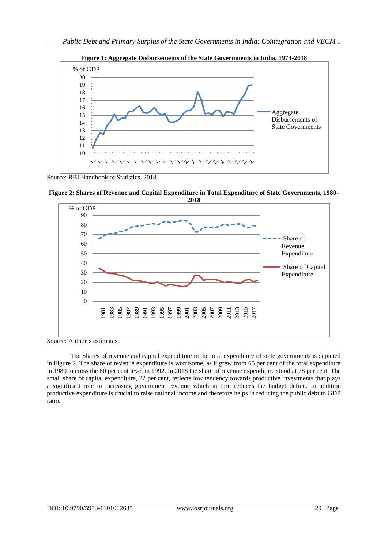

**Figure 1: Aggregate Disbursements of the State Governments in India, 1974-2018**

Source: RBI Handbook of Statistics, 2018.

**Figure 2: Shares of Revenue and Capital Expenditure in Total Expenditure of State Governments, 1980-**



Source: Author's estimates.

The Shares of revenue and capital expenditure in the total expenditure of state governments is depicted in Figure 2. The share of revenue expenditure is worrisome, as it grew from 65 per cent of the total expenditure in 1980 to cross the 80 per cent level in 1992. In 2018 the share of revenue expenditure stood at 78 per cent. The small share of capital expenditure, 22 per cent, reflects low tendency towards productive investments that plays a significant role in increasing government revenue which in turn reduces the budget deficit. In addition productive expenditure is crucial to raise national income and therefore helps in reducing the public debt to GDP ratio.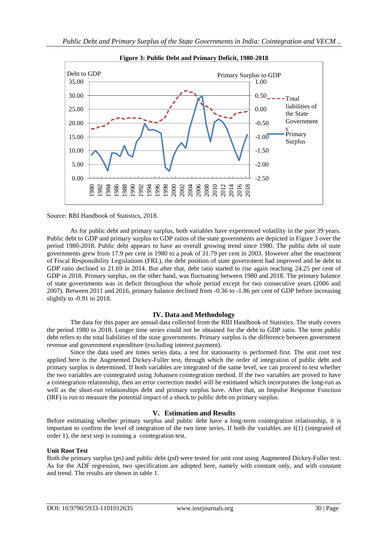

**Figure 3: Public Debt and Primary Deficit, 1980-2018**

#### Source: RBI Handbook of Statistics, 2018.

As for public debt and primary surplus, both variables have experienced volatility in the past 39 years. Public debt to GDP and primary surplus to GDP ratios of the state governments are depicted in Figure 3 over the period 1980-2018. Public debt appears to have an overall growing trend since 1980. The public debt of state governments grew from 17.9 per cent in 1980 to a peak of 31.79 per cent in 2003. However after the enactment of Fiscal Responsibility Legislations (FRL), the debt position of state government had improved and he debt to GDP ratio declined to 21.69 in 2014. But after that, debt ratio started to rise again reaching 24.25 per cent of GDP in 2018. Primary surplus, on the other hand, was fluctuating between 1980 and 2018. The primary balance of state governments was in deficit throughout the whole period except for two consecutive years (2006 and 2007). Between 2011 and 2016, primary balance declined from -0.36 to -1.86 per cent of GDP before increasing slightly to -0.91 in 2018.

## **IV. Data and Methodology**

The data for this paper are annual data collected from the RBI Handbook of Statistics. The study covers the period 1980 to 2018. Longer time series could not be obtained for the debt to GDP ratio. The term public debt refers to the total liabilities of the state governments. Primary surplus is the difference between government revenue and government expenditure (excluding interest payment).

Since the data used are times series data, a test for stationarity is performed first. The unit root test applied here is the Augmented Dickey-Fuller test, through which the order of integration of public debt and primary surplus is determined. If both variables are integrated of the same level, we can proceed to test whether the two variables are cointegrated using Johansen cointegration method. If the two variables are proved to have a cointegration relationship, then an error correction model will be estimated which incorporates the long-run as well as the short-run relationships debt and primary surplus have. After that, an Impulse Response Function (IRF) is run to measure the potential impact of a shock to public debt on primary surplus.

## **V. Estimation and Results**

Before estimating whether primary surplus and public debt have a long-term cointegration relationship, it is important to confirm the level of integration of the two time series. If both the variables are I(1) (integrated of order 1), the next step is running a cointegration test.

## **Unit Root Test**

Both the primary surplus (*ps*) and public debt (*pd*) were tested for unit root using Augmented Dickey-Fuller test. As for the ADF regression, two specification are adopted here, namely with constant only, and with constant and trend. The results are shown in table 1.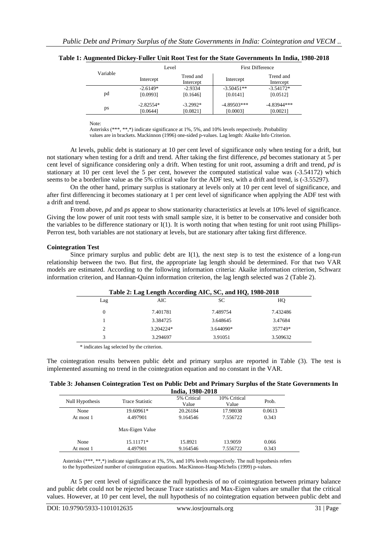|          |             | Level                  |              | <b>First Difference</b> |  |
|----------|-------------|------------------------|--------------|-------------------------|--|
| Variable | Intercept   | Trend and<br>Intercept | Intercept    | Trend and<br>Intercept  |  |
| pd       | $-2.6149*$  | $-2.9334$              | $-3.50451**$ | $-3.54172*$             |  |
|          | [0.0993]    | [0.1646]               | [0.0141]     | [0.0512]                |  |
| ps       | $-2.82554*$ | $-3.2992*$             | -4.89503***  | $-4.83944***$           |  |
|          | [0.0644]    | [0.0821]               | [0.0003]     | [0.0021]                |  |

**Table 1: Augmented Dickey-Fuller Unit Root Test for the State Governments In India, 1980-2018**

Note:

Asterisks (\*\*\*, \*\*,\*) indicate significance at 1%, 5%, and 10% levels respectively. Probability values are in brackets. Mackinnon (1996) one-sided p-values. Lag length: Akaike Info Criterion.

At levels, public debt is stationary at 10 per cent level of significance only when testing for a drift, but not stationary when testing for a drift and trend. After taking the first difference, *pd* becomes stationary at 5 per cent level of significance considering only a drift. When testing for unit root, assuming a drift and trend, *pd* is stationary at 10 per cent level the 5 per cent, however the computed statistical value was (-3.54172) which seems to be a borderline value as the 5% critical value for the ADF test, with a drift and trend, is (-3.55297).

On the other hand, primary surplus is stationary at levels only at 10 per cent level of significance, and after first differencing it becomes stationary at 1 per cent level of significance when applying the ADF test with a drift and trend.

From above, *pd* and *ps* appear to show stationarity characteristics at levels at 10% level of significance. Giving the low power of unit root tests with small sample size, it is better to be conservative and consider both the variables to be difference stationary or I(1). It is worth noting that when testing for unit root using Phillips-Perron test, both variables are not stationary at levels, but are stationary after taking first difference.

## **Cointegration Test**

Since primary surplus and public debt are  $I(1)$ , the next step is to test the existence of a long-run relationship between the two. But first, the appropriate lag length should be determined. For that two VAR models are estimated. According to the following information criteria: Akaike information criterion, Schwarz information criterion, and Hannan-Quinn information criterion, the lag length selected was 2 (Table 2).

| Table 2: Lag Length According AIC, SC, and HQ, 1980-2018 |           |             |          |  |
|----------------------------------------------------------|-----------|-------------|----------|--|
| Lag                                                      | AIC       | SС          | HO       |  |
| $\Omega$                                                 | 7.401781  | 7.489754    | 7.432486 |  |
|                                                          | 3.384725  | 3.648645    | 3.47684  |  |
|                                                          | 3.204224* | $3.644090*$ | 357749*  |  |
|                                                          | 3.294697  | 3.91051     | 3.509632 |  |

\* indicates lag selected by the criterion.

The cointegration results between public debt and primary surplus are reported in Table (3). The test is implemented assuming no trend in the cointegration equation and no constant in the VAR.

| Table 3: Johansen Cointegration Test on Public Debt and Primary Surplus of the State Governments In |
|-----------------------------------------------------------------------------------------------------|
| India. 1980-2018                                                                                    |

| Null Hypothesis | <b>Trace Statistic</b> | 5% Critical<br>Value | 10% Critical<br>Value | Prob.  |
|-----------------|------------------------|----------------------|-----------------------|--------|
| None            | 19.60961*              | 20.26184             | 17.98038              | 0.0613 |
| At most 1       | 4.497901               | 9.164546             | 7.556722              | 0.343  |
|                 | Max-Eigen Value        |                      |                       |        |
| None            | 15.11171*              | 15.8921              | 13.9059               | 0.066  |
| At most 1       | 4.497901               | 9.164546             | 7.556722              | 0.343  |

Asterisks (\*\*\*, \*\*,\*) indicate significance at 1%, 5%, and 10% levels respectively. The null hypothesis refers to the hypothesized number of cointegration equations. MacKinnon-Haug-Michelis (1999) p-values.

At 5 per cent level of significance the null hypothesis of no of cointegration between primary balance and public debt could not be rejected because Trace statistics and Max-Eigen values are smaller that the critical values. However, at 10 per cent level, the null hypothesis of no cointegration equation between public debt and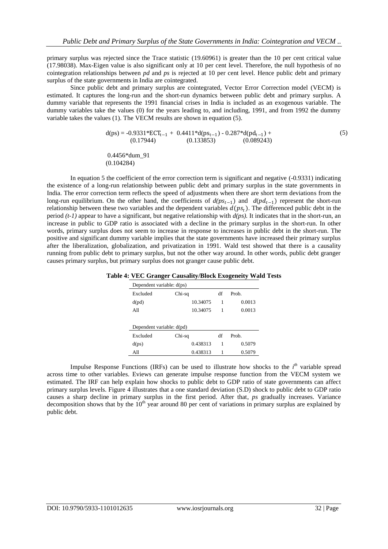primary surplus was rejected since the Trace statistic (19.60961) is greater than the 10 per cent critical value (17.98038). Max-Eigen value is also significant only at 10 per cent level. Therefore, the null hypothesis of no cointegration relationships between *pd* and *ps* is rejected at 10 per cent level. Hence public debt and primary surplus of the state governments in India are cointegrated.

Since public debt and primary surplus are cointegrated, Vector Error Correction model (VECM) is estimated. It captures the long-run and the short-run dynamics between public debt and primary surplus. A dummy variable that represents the 1991 financial crises in India is included as an exogenous variable. The dummy variables take the values (0) for the years leading to, and including, 1991, and from 1992 the dummy variable takes the values (1). The VECM results are shown in equation (5).

$$
d(ps) = -0.9331*ECT_{t-1} + 0.4411* d(ps_{t-1}) - 0.287* d(pd_{t-1}) + (0.17944)
$$
\n
$$
(0.17944) \qquad (0.133853) \qquad (0.089243)
$$
\n
$$
(5)
$$

0.4456\*dum\_91 (0.104284)

In equation 5 the coefficient of the error correction term is significant and negative (-0.9331) indicating the existence of a long-run relationship between public debt and primary surplus in the state governments in India. The error correction term reflects the speed of adjustments when there are short term deviations from the long-run equilibrium. On the other hand, the coefficients of  $d(ps_{t-1})$  and  $d(pd_{t-1})$  represent the short-run relationship between these two variables and the dependent variables  $d(p_{s_t})$ . The differenced public debt in the period *(t-1)* appear to have a significant, but negative relationship with *d(ps).* It indicates that in the short-run, an increase in public to GDP ratio is associated with a decline in the primary surplus in the short-run. In other words, primary surplus does not seem to increase in response to increases in public debt in the short-run. The positive and significant dummy variable implies that the state governments have increased their primary surplus after the liberalization, globalization, and privatization in 1991. Wald test showed that there is a causality running from public debt to primary surplus, but not the other way around. In other words, public debt granger causes primary surplus, but primary surplus does not granger cause public debt.

| Dependent variable: d(ps) |          |    |        |  |  |
|---------------------------|----------|----|--------|--|--|
| Excluded                  | Chi-sq   | df | Prob.  |  |  |
| d(pd)                     | 10.34075 | 1  | 0.0013 |  |  |
| All                       | 10.34075 | 1  | 0.0013 |  |  |
| Dependent variable: d(pd) |          |    |        |  |  |
| Excluded                  | Chi-sq   | df | Prob.  |  |  |
| d(p <sub>S</sub> )        | 0.438313 | 1  | 0.5079 |  |  |
| All                       | 0.438313 | 1  | 0.5079 |  |  |

Impulse Response Functions (IRFs) can be used to illustrate how shocks to the *i*<sup>th</sup> variable spread across time to other variables. Eviews can generate impulse response function from the VECM system we estimated. The IRF can help explain how shocks to public debt to GDP ratio of state governments can affect primary surplus levels. Figure 4 illustrates that a one standard deviation (S.D) shock to public debt to GDP ratio causes a sharp decline in primary surplus in the first period. After that, *ps* gradually increases. Variance decomposition shows that by the  $10<sup>th</sup>$  year around 80 per cent of variations in primary surplus are explained by public debt.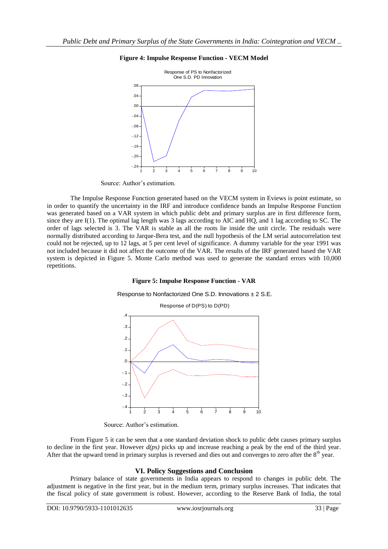

## **Figure 4: Impulse Response Function - VECM Model**

Source: Author's estimation.

The Impulse Response Function generated based on the VECM system in Eviews is point estimate, so in order to quantify the uncertainty in the IRF and introduce confidence bands an Impulse Response Function was generated based on a VAR system in which public debt and primary surplus are in first difference form, since they are I(1). The optimal lag length was 3 lags according to AIC and HQ, and 1 lag according to SC. The order of lags selected is 3. The VAR is stable as all the roots lie inside the unit circle. The residuals were normally distributed according to Jarque-Bera test, and the null hypothesis of the LM serial autocorrelation test could not be rejected, up to 12 lags, at 5 per cent level of significance. A dummy variable for the year 1991 was not included because it did not affect the outcome of the VAR. The results of the IRF generated based the VAR system is depicted in Figure 5. Monte Carlo method was used to generate the standard errors with 10,000 repetitions.

## **Figure 5: Impulse Response Function - VAR**

Response to Nonfactorized One S.D. Innovations ± 2 S.E.



Source: Author's estimation.

From Figure 5 it can be seen that a one standard deviation shock to public debt causes primary surplus to decline in the first year. However *d(ps)* picks up and increase reaching a peak by the end of the third year. After that the upward trend in primary surplus is reversed and dies out and converges to zero after the  $8<sup>th</sup>$  year.

## **VI. Policy Suggestions and Conclusion**

Primary balance of state governments in India appears to respond to changes in public debt. The adjustment is negative in the first year, but in the medium term, primary surplus increases. That indicates that the fiscal policy of state government is robust. However, according to the Reserve Bank of India, the total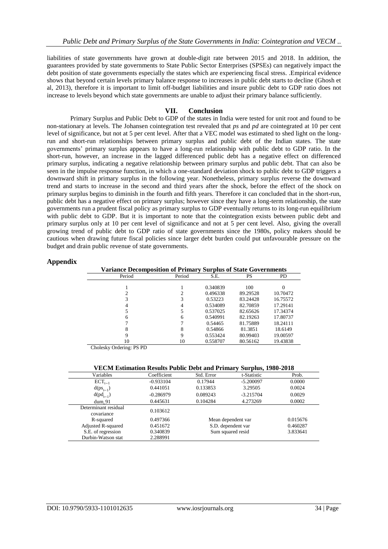liabilities of state governments have grown at double-digit rate between 2015 and 2018. In addition, the guarantees provided by state governments to State Public Sector Enterprises (SPSEs) can negatively impact the debt position of state governments especially the states which are experiencing fiscal stress. .Empirical evidence shows that beyond certain levels primary balance response to increases in public debt starts to decline (Ghosh et al, 2013), therefore it is important to limit off-budget liabilities and insure public debt to GDP ratio does not increase to levels beyond which state governments are unable to adjust their primary balance sufficiently.

## **VII. Conclusion**

Primary Surplus and Public Debt to GDP of the states in India were tested for unit root and found to be non-stationary at levels. The Johansen cointegration test revealed that *ps* and *pd* are cointegrated at 10 per cent level of significance, but not at 5 per cent level. After that a VEC model was estimated to shed light on the longrun and short-run relationships between primary surplus and public debt of the Indian states. The state governments' primary surplus appears to have a long-run relationship with public debt to GDP ratio. In the short-run, however, an increase in the lagged differenced public debt has a negative effect on differenced primary surplus, indicating a negative relationship between primary surplus and public debt. That can also be seen in the impulse response function, in which a one-standard deviation shock to public debt to GDP triggers a downward shift in primary surplus in the following year. Nonetheless, primary surplus reverse the downward trend and starts to increase in the second and third years after the shock, before the effect of the shock on primary surplus begins to diminish in the fourth and fifth years. Therefore it can concluded that in the short-run, public debt has a negative effect on primary surplus; however since they have a long-term relationship, the state governments run a prudent fiscal policy as primary surplus to GDP eventually returns to its long-run equilibrium with public debt to GDP. But it is important to note that the cointegration exists between public debt and primary surplus only at 10 per cent level of significance and not at 5 per cent level. Also, giving the overall growing trend of public debt to GDP ratio of state governments since the 1980s, policy makers should be cautious when drawing future fiscal policies since larger debt burden could put unfavourable pressure on the budget and drain public revenue of state governments.

## **Appendix**

| <b>Variance Decomposition of Primary Surplus of State Governments</b> |        |          |          |          |
|-----------------------------------------------------------------------|--------|----------|----------|----------|
| Period                                                                | Period | S.E.     | PS       | PD       |
|                                                                       |        | 0.340839 | 100      |          |
|                                                                       |        | 0.496338 | 89.29528 | 10.70472 |
|                                                                       |        | 0.53223  | 83.24428 | 16.75572 |
|                                                                       | 4      | 0.534089 | 82.70859 | 17.29141 |
|                                                                       |        | 0.537025 | 82.65626 | 17.34374 |
| 6                                                                     | 6      | 0.540991 | 82.19263 | 17.80737 |
|                                                                       |        | 0.54465  | 81.75889 | 18.24111 |
|                                                                       | 8      | 0.54866  | 81.3851  | 18.6149  |
| 9                                                                     | 9      | 0.553424 | 80.99403 | 19.00597 |
| 10                                                                    | 10     | 0.558707 | 80.56162 | 19.43838 |

Cholesky Ordering: PS PD

| VECM Estimation Results Public Debt and Primary Surplus, 1980-2018 |  |  |
|--------------------------------------------------------------------|--|--|
|--------------------------------------------------------------------|--|--|

| Variables                 | Coefficient | Std. Error         | t-Statistic        | Prob.    |
|---------------------------|-------------|--------------------|--------------------|----------|
| $ECT_{t-1}$               | $-0.933104$ | 0.17944            | $-5.200097$        | 0.0000   |
| $d(ps_{t-1})$             | 0.441051    | 0.133853           | 3.29505            | 0.0024   |
| $d(pd_{t-1})$             | $-0.286979$ | 0.089243           | $-3.215704$        | 0.0029   |
| $dum$ 91                  | 0.445631    | 0.104284           | 4.273269           | 0.0002   |
| Determinant residual      | 0.103612    |                    |                    |          |
| covariance                |             |                    |                    |          |
| R-squared                 | 0.497366    |                    | Mean dependent var | 0.015676 |
| <b>Adjusted R-squared</b> | 0.451672    | S.D. dependent var |                    | 0.460287 |
| S.E. of regression        | 0.340839    | Sum squared resid  |                    | 3.833641 |
| Durbin-Watson stat        | 2.288991    |                    |                    |          |